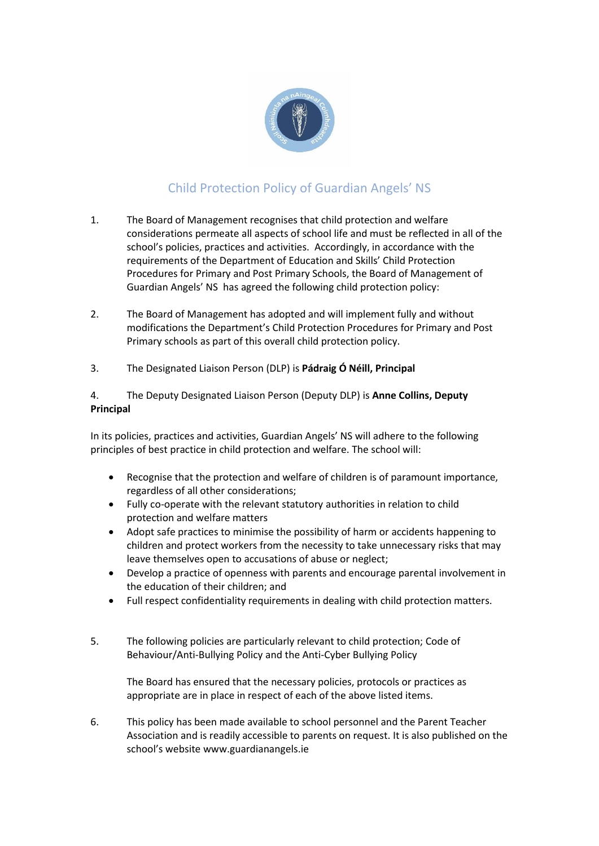

## Child Protection Policy of Guardian Angels' NS

- 1. The Board of Management recognises that child protection and welfare considerations permeate all aspects of school life and must be reflected in all of the school's policies, practices and activities. Accordingly, in accordance with the requirements of the Department of Education and Skills' Child Protection Procedures for Primary and Post Primary Schools, the Board of Management of Guardian Angels' NS has agreed the following child protection policy:
- 2. The Board of Management has adopted and will implement fully and without modifications the Department's Child Protection Procedures for Primary and Post Primary schools as part of this overall child protection policy.
- 3. The Designated Liaison Person (DLP) is **Pádraig Ó Néill, Principal**

4. The Deputy Designated Liaison Person (Deputy DLP) is **Anne Collins, Deputy Principal**

In its policies, practices and activities, Guardian Angels' NS will adhere to the following principles of best practice in child protection and welfare. The school will:

- Recognise that the protection and welfare of children is of paramount importance, regardless of all other considerations;
- Fully co-operate with the relevant statutory authorities in relation to child protection and welfare matters
- Adopt safe practices to minimise the possibility of harm or accidents happening to children and protect workers from the necessity to take unnecessary risks that may leave themselves open to accusations of abuse or neglect;
- Develop a practice of openness with parents and encourage parental involvement in the education of their children; and
- Full respect confidentiality requirements in dealing with child protection matters.
- 5. The following policies are particularly relevant to child protection; Code of Behaviour/Anti-Bullying Policy and the Anti-Cyber Bullying Policy

The Board has ensured that the necessary policies, protocols or practices as appropriate are in place in respect of each of the above listed items.

6. This policy has been made available to school personnel and the Parent Teacher Association and is readily accessible to parents on request. It is also published on the school's website www.guardianangels.ie